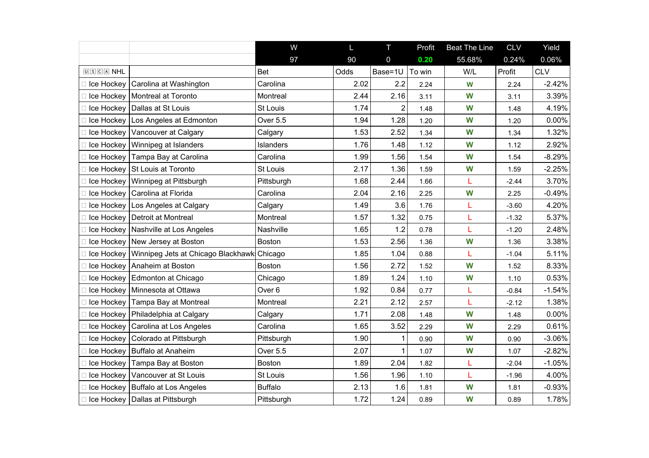|                         |                                       | W                 | $\mathsf{L}$ | T.             | Profit | <b>Beat The Line</b> | <b>CLV</b> | Yield      |
|-------------------------|---------------------------------------|-------------------|--------------|----------------|--------|----------------------|------------|------------|
|                         |                                       | 97                | 90           | 0              | 0.20   | 55.68%               | 0.24%      | 0.06%      |
| $[0]$ $S$ $C$ $A$ $NHL$ |                                       | <b>Bet</b>        | Odds         | Base=1U        | To win | W/L                  | Profit     | <b>CLV</b> |
| Ice Hockey              | Carolina at Washington                | Carolina          | 2.02         | 2.2            | 2.24   | W                    | 2.24       | $-2.42%$   |
| Ice Hockey              | Montreal at Toronto                   | Montreal          | 2.44         | 2.16           | 3.11   | W                    | 3.11       | 3.39%      |
| Ice Hockey              | Dallas at St Louis                    | St Louis          | 1.74         | $\overline{2}$ | 1.48   | W                    | 1.48       | 4.19%      |
| Ice Hockey              | Los Angeles at Edmonton               | Over 5.5          | 1.94         | 1.28           | 1.20   | W                    | 1.20       | 0.00%      |
|                         | Ice Hockey   Vancouver at Calgary     | Calgary           | 1.53         | 2.52           | 1.34   | W                    | 1.34       | 1.32%      |
|                         | Ice Hockey   Winnipeg at Islanders    | Islanders         | 1.76         | 1.48           | 1.12   | W                    | 1.12       | 2.92%      |
| Ice Hockey              | Tampa Bay at Carolina                 | Carolina          | 1.99         | 1.56           | 1.54   | W                    | 1.54       | $-8.29%$   |
| Ice Hockey              | St Louis at Toronto                   | St Louis          | 2.17         | 1.36           | 1.59   | W                    | 1.59       | $-2.25%$   |
|                         | Ice Hockey   Winnipeg at Pittsburgh   | Pittsburgh        | 1.68         | 2.44           | 1.66   | L                    | $-2.44$    | 3.70%      |
| Ice Hockey              | Carolina at Florida                   | Carolina          | 2.04         | 2.16           | 2.25   | W                    | 2.25       | $-0.49%$   |
|                         | Ice Hockey   Los Angeles at Calgary   | Calgary           | 1.49         | 3.6            | 1.76   | L                    | $-3.60$    | 4.20%      |
| Ice Hockey              | Detroit at Montreal                   | Montreal          | 1.57         | 1.32           | 0.75   | L                    | $-1.32$    | 5.37%      |
|                         | Ice Hockey   Nashville at Los Angeles | Nashville         | 1.65         | 1.2            | 0.78   | L                    | $-1.20$    | 2.48%      |
| Ice Hockey              | New Jersey at Boston                  | <b>Boston</b>     | 1.53         | 2.56           | 1.36   | W                    | 1.36       | 3.38%      |
| Ice Hockey              | Winnipeg Jets at Chicago Blackhawk    | Chicago           | 1.85         | 1.04           | 0.88   | L                    | $-1.04$    | 5.11%      |
| Ice Hockey              | Anaheim at Boston                     | <b>Boston</b>     | 1.56         | 2.72           | 1.52   | W                    | 1.52       | 8.33%      |
|                         | Ice Hockey   Edmonton at Chicago      | Chicago           | 1.89         | 1.24           | 1.10   | W                    | 1.10       | 0.53%      |
|                         | Ice Hockey   Minnesota at Ottawa      | Over <sub>6</sub> | 1.92         | 0.84           | 0.77   | L                    | $-0.84$    | $-1.54%$   |
|                         | Ice Hockey   Tampa Bay at Montreal    | Montreal          | 2.21         | 2.12           | 2.57   | L                    | $-2.12$    | 1.38%      |
| Ice Hockey              | Philadelphia at Calgary               | Calgary           | 1.71         | 2.08           | 1.48   | W                    | 1.48       | $0.00\%$   |
|                         | Ice Hockey   Carolina at Los Angeles  | Carolina          | 1.65         | 3.52           | 2.29   | W                    | 2.29       | 0.61%      |
| Ice Hockey              | Colorado at Pittsburgh                | Pittsburgh        | 1.90         | 1              | 0.90   | W                    | 0.90       | $-3.06%$   |
|                         | Ice Hockey   Buffalo at Anaheim       | Over 5.5          | 2.07         | 1              | 1.07   | W                    | 1.07       | $-2.82%$   |
| Ice Hockey              | Tampa Bay at Boston                   | <b>Boston</b>     | 1.89         | 2.04           | 1.82   | L                    | $-2.04$    | $-1.05%$   |
|                         | Ice Hockey   Vancouver at St Louis    | St Louis          | 1.56         | 1.96           | 1.10   | L                    | $-1.96$    | 4.00%      |
|                         | Ice Hockey   Buffalo at Los Angeles   | <b>Buffalo</b>    | 2.13         | 1.6            | 1.81   | W                    | 1.81       | $-0.93%$   |
|                         | Ice Hockey Dallas at Pittsburgh       | Pittsburgh        | 1.72         | 1.24           | 0.89   | W                    | 0.89       | 1.78%      |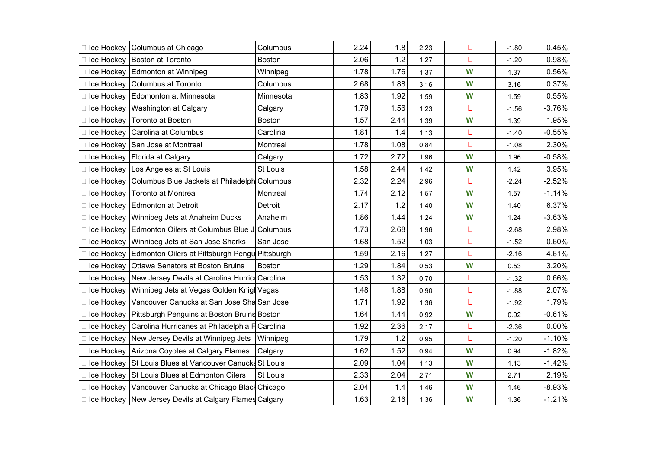|            | Ice Hockey   Columbus at Chicago                           | Columbus      | 2.24 | 1.8  | 2.23 | L | $-1.80$ | 0.45%    |
|------------|------------------------------------------------------------|---------------|------|------|------|---|---------|----------|
| Ice Hockey | Boston at Toronto                                          | Boston        | 2.06 | 1.2  | 1.27 | L | $-1.20$ | 0.98%    |
|            | Ice Hockey Edmonton at Winnipeg                            | Winnipeg      | 1.78 | 1.76 | 1.37 | W | 1.37    | 0.56%    |
|            | Ice Hockey   Columbus at Toronto                           | Columbus      | 2.68 | 1.88 | 3.16 | W | 3.16    | 0.37%    |
|            | Ice Hockey   Edomonton at Minnesota                        | Minnesota     | 1.83 | 1.92 | 1.59 | W | 1.59    | 0.55%    |
|            | Ice Hockey   Washington at Calgary                         | Calgary       | 1.79 | 1.56 | 1.23 | L | $-1.56$ | $-3.76%$ |
|            | Ice Hockey   Toronto at Boston                             | <b>Boston</b> | 1.57 | 2.44 | 1.39 | W | 1.39    | 1.95%    |
|            | Ice Hockey   Carolina at Columbus                          | Carolina      | 1.81 | 1.4  | 1.13 | L | $-1.40$ | $-0.55%$ |
|            | Ice Hockey San Jose at Montreal                            | Montreal      | 1.78 | 1.08 | 0.84 | L | $-1.08$ | 2.30%    |
|            | Ice Hockey   Florida at Calgary                            | Calgary       | 1.72 | 2.72 | 1.96 | W | 1.96    | $-0.58%$ |
|            | Ice Hockey   Los Angeles at St Louis                       | St Louis      | 1.58 | 2.44 | 1.42 | W | 1.42    | 3.95%    |
|            | Ice Hockey   Columbus Blue Jackets at Philadelph Columbus  |               | 2.32 | 2.24 | 2.96 | L | $-2.24$ | $-2.52%$ |
|            | Ice Hockey   Toronto at Montreal                           | Montreal      | 1.74 | 2.12 | 1.57 | W | 1.57    | $-1.14%$ |
|            | Ice Hockey   Edmonton at Detroit                           | Detroit       | 2.17 | 1.2  | 1.40 | W | 1.40    | 6.37%    |
| Ice Hockey | Winnipeg Jets at Anaheim Ducks                             | Anaheim       | 1.86 | 1.44 | 1.24 | W | 1.24    | $-3.63%$ |
|            | Ice Hockey   Edmonton Oilers at Columbus Blue J Columbus   |               | 1.73 | 2.68 | 1.96 | L | $-2.68$ | 2.98%    |
| Ice Hockey | Winnipeg Jets at San Jose Sharks                           | San Jose      | 1.68 | 1.52 | 1.03 | L | $-1.52$ | 0.60%    |
| Ice Hockey | Edmonton Oilers at Pittsburgh Pengu Pittsburgh             |               | 1.59 | 2.16 | 1.27 | L | $-2.16$ | 4.61%    |
| Ice Hockey | <b>Ottawa Senators at Boston Bruins</b>                    | <b>Boston</b> | 1.29 | 1.84 | 0.53 | W | 0.53    | 3.20%    |
|            | Ice Hockey New Jersey Devils at Carolina Hurric Carolina   |               | 1.53 | 1.32 | 0.70 | L | $-1.32$ | 0.66%    |
|            | Ice Hockey   Winnipeg Jets at Vegas Golden Knigh Vegas     |               | 1.48 | 1.88 | 0.90 | L | $-1.88$ | 2.07%    |
|            | Ice Hockey   Vancouver Canucks at San Jose Sha San Jose    |               | 1.71 | 1.92 | 1.36 | L | $-1.92$ | 1.79%    |
| Ice Hockey | Pittsburgh Penguins at Boston Bruins Boston                |               | 1.64 | 1.44 | 0.92 | W | 0.92    | $-0.61%$ |
| Ice Hockey | Carolina Hurricanes at Philadelphia F Carolina             |               | 1.92 | 2.36 | 2.17 | L | $-2.36$ | 0.00%    |
|            | Ice Hockey New Jersey Devils at Winnipeg Jets              | Winnipeg      | 1.79 | 1.2  | 0.95 | L | $-1.20$ | $-1.10%$ |
|            | Ice Hockey   Arizona Coyotes at Calgary Flames             | Calgary       | 1.62 | 1.52 | 0.94 | W | 0.94    | $-1.82%$ |
|            | Ice Hockey St Louis Blues at Vancouver Canucks St Louis    |               | 2.09 | 1.04 | 1.13 | W | 1.13    | $-1.42%$ |
|            | Ice Hockey St Louis Blues at Edmonton Oilers               | St Louis      | 2.33 | 2.04 | 2.71 | W | 2.71    | 2.19%    |
|            | Ice Hockey   Vancouver Canucks at Chicago Black Chicago    |               | 2.04 | 1.4  | 1.46 | W | 1.46    | $-8.93%$ |
|            | □ Ice Hockey   New Jersey Devils at Calgary Flames Calgary |               | 1.63 | 2.16 | 1.36 | W | 1.36    | $-1.21%$ |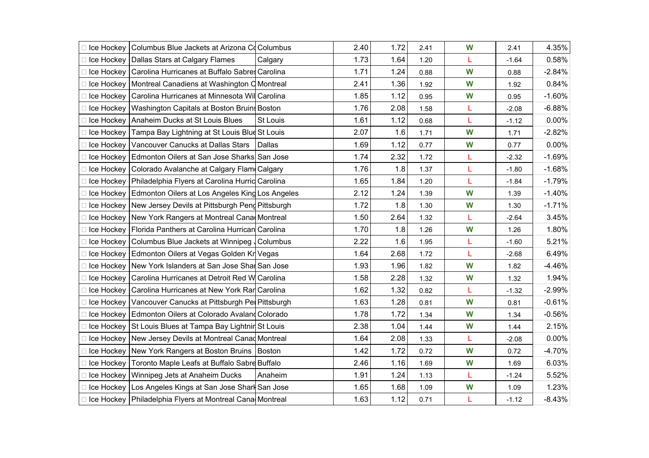|            | □ Ice Hockey   Columbus Blue Jackets at Arizona Co Columbus   |          | 2.40 | 1.72 | 2.41 | W | 2.41    | 4.35%    |
|------------|---------------------------------------------------------------|----------|------|------|------|---|---------|----------|
|            | Ice Hockey   Dallas Stars at Calgary Flames                   | Calgary  | 1.73 | 1.64 | 1.20 | Г | $-1.64$ | 0.58%    |
|            | □ Ice Hockey   Carolina Hurricanes at Buffalo Sabres Carolina |          | 1.71 | 1.24 | 0.88 | W | 0.88    | $-2.84%$ |
|            | Ice Hockey   Montreal Canadiens at Washington C Montreal      |          | 2.41 | 1.36 | 1.92 | W | 1.92    | 0.84%    |
|            | Ice Hockey   Carolina Hurricanes at Minnesota Will Carolina   |          | 1.85 | 1.12 | 0.95 | W | 0.95    | $-1.60%$ |
|            | Ice Hockey   Washington Capitals at Boston Bruin Boston       |          | 1.76 | 2.08 | 1.58 | L | $-2.08$ | $-6.88%$ |
|            | Ice Hockey Anaheim Ducks at St Louis Blues                    | St Louis | 1.61 | 1.12 | 0.68 | L | $-1.12$ | $0.00\%$ |
|            | Ice Hockey   Tampa Bay Lightning at St Louis Blue St Louis    |          | 2.07 | 1.6  | 1.71 | W | 1.71    | $-2.82%$ |
|            | Ice Hockey   Vancouver Canucks at Dallas Stars                | Dallas   | 1.69 | 1.12 | 0.77 | W | 0.77    | $0.00\%$ |
|            | Ice Hockey   Edmonton Oilers at San Jose Sharks San Jose      |          | 1.74 | 2.32 | 1.72 | Г | $-2.32$ | $-1.69%$ |
| Ice Hockey | Colorado Avalanche at Calgary Flam Calgary                    |          | 1.76 | 1.8  | 1.37 | L | $-1.80$ | $-1.68%$ |
|            | Ice Hockey   Philadelphia Flyers at Carolina Hurrid Carolina  |          | 1.65 | 1.84 | 1.20 | L | $-1.84$ | $-1.79%$ |
| Ice Hockey | Edmonton Oilers at Los Angeles King Los Angeles               |          | 2.12 | 1.24 | 1.39 | W | 1.39    | $-1.40%$ |
|            | Ice Hockey New Jersey Devils at Pittsburgh Peng Pittsburgh    |          | 1.72 | 1.8  | 1.30 | W | 1.30    | $-1.71%$ |
|            | Ice Hockey   New York Rangers at Montreal Cana Montreal       |          | 1.50 | 2.64 | 1.32 | L | $-2.64$ | 3.45%    |
|            | Ice Hockey   Florida Panthers at Carolina Hurrican Carolina   |          | 1.70 | 1.8  | 1.26 | W | 1.26    | 1.80%    |
|            | Ice Hockey   Columbus Blue Jackets at Winnipeg   Columbus     |          | 2.22 | 1.6  | 1.95 | Г | $-1.60$ | 5.21%    |
|            | Ice Hockey Edmonton Oilers at Vegas Golden Kr Vegas           |          | 1.64 | 2.68 | 1.72 | L | $-2.68$ | 6.49%    |
|            | Ice Hockey New York Islanders at San Jose Shar San Jose       |          | 1.93 | 1.96 | 1.82 | W | 1.82    | $-4.46%$ |
|            | Ice Hockey   Carolina Hurricanes at Detroit Red W Carolina    |          | 1.58 | 2.28 | 1.32 | W | 1.32    | 1.94%    |
|            | Ice Hockey   Carolina Hurricanes at New York Rar Carolina     |          | 1.62 | 1.32 | 0.82 | L | $-1.32$ | $-2.99%$ |
|            | Ice Hockey   Vancouver Canucks at Pittsburgh Pel Pittsburgh   |          | 1.63 | 1.28 | 0.81 | W | 0.81    | $-0.61%$ |
|            | Ice Hockey   Edmonton Oilers at Colorado Avaland Colorado     |          | 1.78 | 1.72 | 1.34 | W | 1.34    | $-0.56%$ |
|            | Ice Hockey St Louis Blues at Tampa Bay Lightnin St Louis      |          | 2.38 | 1.04 | 1.44 | W | 1.44    | 2.15%    |
|            | Ice Hockey   New Jersey Devils at Montreal Canad Montreal     |          | 1.64 | 2.08 | 1.33 | Г | $-2.08$ | $0.00\%$ |
|            | □ Ice Hockey   New York Rangers at Boston Bruins   Boston     |          | 1.42 | 1.72 | 0.72 | W | 0.72    | $-4.70%$ |
|            | Ice Hockey   Toronto Maple Leafs at Buffalo Sabre Buffalo     |          | 2.46 | 1.16 | 1.69 | W | 1.69    | 6.03%    |
|            | □ Ice Hockey   Winnipeg Jets at Anaheim Ducks                 | Anaheim  | 1.91 | 1.24 | 1.13 | L | $-1.24$ | 5.52%    |
|            | Ice Hockey   Los Angeles Kings at San Jose Sharl San Jose     |          | 1.65 | 1.68 | 1.09 | W | 1.09    | 1.23%    |
|            | □ Ice Hockey   Philadelphia Flyers at Montreal Cana Montreal  |          | 1.63 | 1.12 | 0.71 | L | $-1.12$ | $-8.43%$ |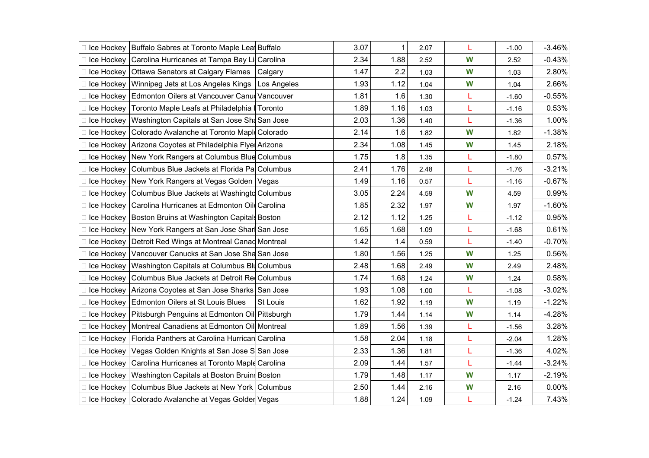|            |                                                               |                 | 3.07 | 1    |      |   |         |          |
|------------|---------------------------------------------------------------|-----------------|------|------|------|---|---------|----------|
|            | Ice Hockey   Buffalo Sabres at Toronto Maple Leal Buffalo     |                 |      |      | 2.07 | L | $-1.00$ | $-3.46%$ |
| Ice Hockey | Carolina Hurricanes at Tampa Bay Lil Carolina                 |                 | 2.34 | 1.88 | 2.52 | W | 2.52    | $-0.43%$ |
| Ice Hockey | Ottawa Senators at Calgary Flames                             | Calgary         | 1.47 | 2.2  | 1.03 | W | 1.03    | 2.80%    |
|            | Ice Hockey   Winnipeg Jets at Los Angeles Kings               | Los Angeles     | 1.93 | 1.12 | 1.04 | W | 1.04    | 2.66%    |
| Ice Hockey | Edmonton Oilers at Vancouver Canud Vancouver                  |                 | 1.81 | 1.6  | 1.30 | L | $-1.60$ | $-0.55%$ |
|            | Ice Hockey   Toronto Maple Leafs at Philadelphia   Toronto    |                 | 1.89 | 1.16 | 1.03 | L | $-1.16$ | 0.53%    |
| Ice Hockey | Washington Capitals at San Jose Sha San Jose                  |                 | 2.03 | 1.36 | 1.40 | L | $-1.36$ | 1.00%    |
| Ice Hockey | Colorado Avalanche at Toronto Maple Colorado                  |                 | 2.14 | 1.6  | 1.82 | W | 1.82    | $-1.38%$ |
|            | Ice Hockey Arizona Coyotes at Philadelphia Flyel Arizona      |                 | 2.34 | 1.08 | 1.45 | W | 1.45    | 2.18%    |
|            | Ice Hockey   New York Rangers at Columbus Blue Columbus       |                 | 1.75 | 1.8  | 1.35 | L | $-1.80$ | 0.57%    |
| Ice Hockey | Columbus Blue Jackets at Florida Pal Columbus                 |                 | 2.41 | 1.76 | 2.48 | L | $-1.76$ | $-3.21%$ |
|            | Ice Hockey   New York Rangers at Vegas Golden   Vegas         |                 | 1.49 | 1.16 | 0.57 | L | $-1.16$ | $-0.67%$ |
| Ice Hockey | Columbus Blue Jackets at Washingto Columbus                   |                 | 3.05 | 2.24 | 4.59 | W | 4.59    | 0.99%    |
| Ice Hockey | Carolina Hurricanes at Edmonton Oil Carolina                  |                 | 1.85 | 2.32 | 1.97 | W | 1.97    | $-1.60%$ |
| Ice Hockey | Boston Bruins at Washington Capital Boston                    |                 | 2.12 | 1.12 | 1.25 | L | $-1.12$ | 0.95%    |
| Ice Hockey | New York Rangers at San Jose Sharl San Jose                   |                 | 1.65 | 1.68 | 1.09 | L | $-1.68$ | 0.61%    |
| Ice Hockey | Detroit Red Wings at Montreal Canad Montreal                  |                 | 1.42 | 1.4  | 0.59 | L | $-1.40$ | $-0.70%$ |
| Ice Hockey | Vancouver Canucks at San Jose Sha San Jose                    |                 | 1.80 | 1.56 | 1.25 | W | 1.25    | 0.56%    |
| Ice Hockey | Washington Capitals at Columbus Blu Columbus                  |                 | 2.48 | 1.68 | 2.49 | W | 2.49    | 2.48%    |
| Ice Hockey | Columbus Blue Jackets at Detroit Red Columbus                 |                 | 1.74 | 1.68 | 1.24 | W | 1.24    | 0.58%    |
| Ice Hockey | Arizona Coyotes at San Jose Sharks San Jose                   |                 | 1.93 | 1.08 | 1.00 | L | $-1.08$ | $-3.02%$ |
|            | Ice Hockey   Edmonton Oilers at St Louis Blues                | <b>St Louis</b> | 1.62 | 1.92 | 1.19 | W | 1.19    | $-1.22%$ |
|            | Ice Hockey   Pittsburgh Penguins at Edmonton Oil Pittsburgh   |                 | 1.79 | 1.44 | 1.14 | W | 1.14    | $-4.28%$ |
|            | Ice Hockey   Montreal Canadiens at Edmonton Oil Montreal      |                 | 1.89 | 1.56 | 1.39 | L | $-1.56$ | 3.28%    |
|            | □ Ice Hockey   Florida Panthers at Carolina Hurrican Carolina |                 | 1.58 | 2.04 | 1.18 | L | $-2.04$ | 1.28%    |
|            | □ Ice Hockey Vegas Golden Knights at San Jose S San Jose      |                 | 2.33 | 1.36 | 1.81 | L | $-1.36$ | 4.02%    |
|            | □ Ice Hockey Carolina Hurricanes at Toronto Maple Carolina    |                 | 2.09 | 1.44 | 1.57 | L | $-1.44$ | $-3.24%$ |
|            | □ Ice Hockey   Washington Capitals at Boston Bruins Boston    |                 | 1.79 | 1.48 | 1.17 | W | 1.17    | $-2.19%$ |
|            | □ Ice Hockey   Columbus Blue Jackets at New York   Columbus   |                 | 2.50 | 1.44 | 2.16 | W | 2.16    | $0.00\%$ |
|            | □ Ice Hockey   Colorado Avalanche at Vegas Golder Vegas       |                 | 1.88 | 1.24 | 1.09 | L | $-1.24$ | 7.43%    |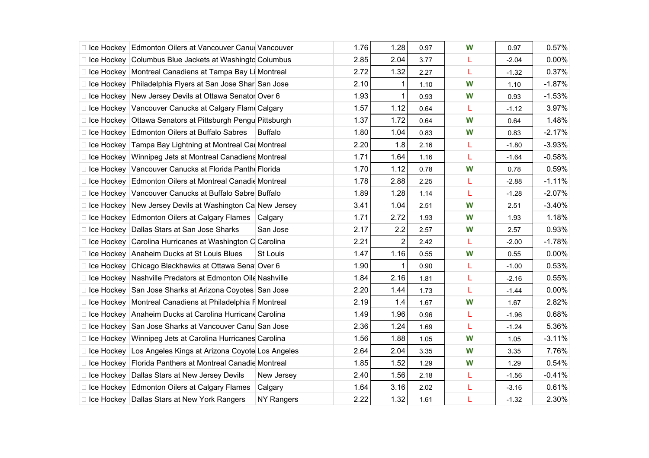| □ Ice Hockey   Edmonton Oilers at Vancouver Canu Vancouver   |                   | 1.76 | 1.28           | 0.97 | W | 0.97    | 0.57%    |
|--------------------------------------------------------------|-------------------|------|----------------|------|---|---------|----------|
| □ Ice Hockey   Columbus Blue Jackets at Washingto Columbus   |                   | 2.85 | 2.04           | 3.77 | L | $-2.04$ | 0.00%    |
| □ Ice Hockey   Montreal Canadiens at Tampa Bay Li Montreal   |                   | 2.72 | 1.32           | 2.27 | L | $-1.32$ | 0.37%    |
| □ Ice Hockey Philadelphia Flyers at San Jose Shar San Jose   |                   | 2.10 | 1              | 1.10 | W | 1.10    | $-1.87%$ |
| □ Ice Hockey New Jersey Devils at Ottawa Senator Over 6      |                   | 1.93 | 1              | 0.93 | W | 0.93    | $-1.53%$ |
| □ Ice Hockey Vancouver Canucks at Calgary Flam Calgary       |                   | 1.57 | 1.12           | 0.64 | L | $-1.12$ | 3.97%    |
| □ Ice Hockey Ottawa Senators at Pittsburgh Pengu Pittsburgh  |                   | 1.37 | 1.72           | 0.64 | W | 0.64    | 1.48%    |
| □ Ice Hockey Edmonton Oilers at Buffalo Sabres               | <b>Buffalo</b>    | 1.80 | 1.04           | 0.83 | W | 0.83    | $-2.17%$ |
| □ Ice Hockey Tampa Bay Lightning at Montreal Car Montreal    |                   | 2.20 | 1.8            | 2.16 | L | $-1.80$ | $-3.93%$ |
| □ Ice Hockey   Winnipeg Jets at Montreal Canadiens Montreal  |                   | 1.71 | 1.64           | 1.16 | L | $-1.64$ | $-0.58%$ |
| □ Ice Hockey Vancouver Canucks at Florida Panth Florida      |                   | 1.70 | 1.12           | 0.78 | W | 0.78    | 0.59%    |
| □ Ice Hockey Edmonton Oilers at Montreal Canadie Montreal    |                   | 1.78 | 2.88           | 2.25 | L | $-2.88$ | $-1.11%$ |
| □ Ice Hockey   Vancouver Canucks at Buffalo Sabre Buffalo    |                   | 1.89 | 1.28           | 1.14 | L | $-1.28$ | $-2.07%$ |
| □ Ice Hockey New Jersey Devils at Washington Ca New Jersey   |                   | 3.41 | 1.04           | 2.51 | W | 2.51    | $-3.40%$ |
| □ Ice Hockey Edmonton Oilers at Calgary Flames Calgary       |                   | 1.71 | 2.72           | 1.93 | W | 1.93    | 1.18%    |
| □ Ice Hockey Dallas Stars at San Jose Sharks                 | San Jose          | 2.17 | 2.2            | 2.57 | W | 2.57    | 0.93%    |
| □ Ice Hockey Carolina Hurricanes at Washington C Carolina    |                   | 2.21 | $\overline{2}$ | 2.42 | L | $-2.00$ | $-1.78%$ |
| □ Ice Hockey   Anaheim Ducks at St Louis Blues               | St Louis          | 1.47 | 1.16           | 0.55 | W | 0.55    | 0.00%    |
| □ Ice Hockey   Chicago Blackhawks at Ottawa Sena Over 6      |                   | 1.90 | 1              | 0.90 | L | $-1.00$ | 0.53%    |
| □ Ice Hockey Nashville Predators at Edmonton Oile Nashville  |                   | 1.84 | 2.16           | 1.81 | L | $-2.16$ | 0.55%    |
| □ Ice Hockey San Jose Sharks at Arizona Coyotes San Jose     |                   | 2.20 | 1.44           | 1.73 | L | $-1.44$ | 0.00%    |
| □ Ice Hockey   Montreal Canadiens at Philadelphia F Montreal |                   | 2.19 | 1.4            | 1.67 | W | 1.67    | 2.82%    |
| □ Ice Hockey   Anaheim Ducks at Carolina Hurricane Carolina  |                   | 1.49 | 1.96           | 0.96 | L | $-1.96$ | 0.68%    |
| □ Ice Hockey San Jose Sharks at Vancouver Canu San Jose      |                   | 2.36 | 1.24           | 1.69 | L | $-1.24$ | 5.36%    |
| □ Ice Hockey   Winnipeg Jets at Carolina Hurricanes Carolina |                   | 1.56 | 1.88           | 1.05 | W | 1.05    | $-3.11%$ |
| □ Ice Hockey Los Angeles Kings at Arizona Coyote Los Angeles |                   | 2.64 | 2.04           | 3.35 | W | 3.35    | 7.76%    |
| □ Ice Hockey Florida Panthers at Montreal Canadie Montreal   |                   | 1.85 | 1.52           | 1.29 | W | 1.29    | 0.54%    |
| □ Ice Hockey   Dallas Stars at New Jersey Devils             | New Jersey        | 2.40 | 1.56           | 2.18 | L | $-1.56$ | $-0.41%$ |
| □ Ice Hockey Edmonton Oilers at Calgary Flames               | Calgary           | 1.64 | 3.16           | 2.02 | L | $-3.16$ | 0.61%    |
| □ Ice Hockey Dallas Stars at New York Rangers                | <b>NY Rangers</b> | 2.22 | 1.32           | 1.61 | L | $-1.32$ | 2.30%    |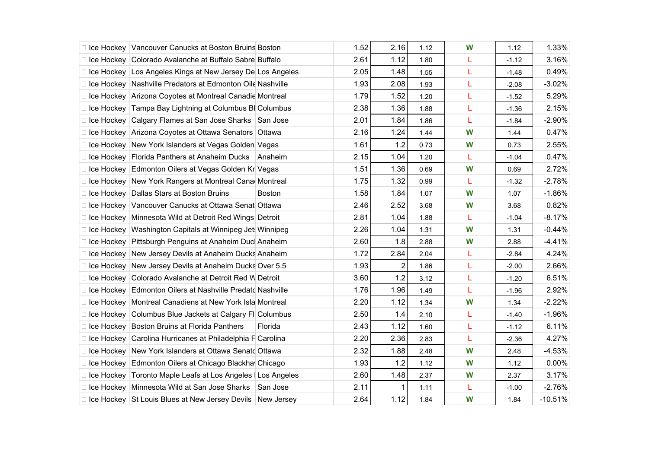|                   | Ice Hockey   Vancouver Canucks at Boston Bruins Boston          |         | 1.52 | 2.16  | 1.12 | W | 1.12    | 1.33%     |
|-------------------|-----------------------------------------------------------------|---------|------|-------|------|---|---------|-----------|
| □ Ice Hockey      | Colorado Avalanche at Buffalo Sabre Buffalo                     |         | 2.61 | 1.12  | 1.80 | L | $-1.12$ | 3.16%     |
|                   | Ice Hockey Los Angeles Kings at New Jersey De Los Angeles       |         | 2.05 | 1.48  | 1.55 | L | $-1.48$ | 0.49%     |
|                   | □ Ice Hockey   Nashville Predators at Edmonton Oile Nashville   |         | 1.93 | 2.08  | 1.93 | L | $-2.08$ | $-3.02%$  |
|                   | □ Ice Hockey   Arizona Coyotes at Montreal Canadie Montreal     |         | 1.79 | 1.52  | 1.20 | L | $-1.52$ | 5.29%     |
|                   | Ice Hockey Tampa Bay Lightning at Columbus BI Columbus          |         | 2.38 | 1.36  | 1.88 | L | $-1.36$ | 2.15%     |
| □ Ice Hockey      | Calgary Flames at San Jose Sharks San Jose                      |         | 2.01 | 1.84  | 1.86 | L | $-1.84$ | $-2.90%$  |
|                   | □ Ice Hockey Arizona Coyotes at Ottawa Senators Ottawa          |         | 2.16 | 1.24  | 1.44 | W | 1.44    | 0.47%     |
|                   | □ Ice Hockey   New York Islanders at Vegas Golden Vegas         |         | 1.61 | $1.2$ | 0.73 | W | 0.73    | 2.55%     |
|                   | □ Ice Hockey Florida Panthers at Anaheim Ducks Anaheim          |         | 2.15 | 1.04  | 1.20 | L | $-1.04$ | 0.47%     |
|                   | Ice Hockey Edmonton Oilers at Vegas Golden Kr Vegas             |         | 1.51 | 1.36  | 0.69 | W | 0.69    | 2.72%     |
|                   | □ Ice Hockey New York Rangers at Montreal Cana Montreal         |         | 1.75 | 1.32  | 0.99 | L | $-1.32$ | $-2.78%$  |
|                   | □ Ice Hockey Dallas Stars at Boston Bruins                      | Boston  | 1.58 | 1.84  | 1.07 | W | 1.07    | $-1.86%$  |
|                   | Ice Hockey Vancouver Canucks at Ottawa Senat Ottawa             |         | 2.46 | 2.52  | 3.68 | W | 3.68    | 0.82%     |
|                   | □ Ice Hockey   Minnesota Wild at Detroit Red Wings Detroit      |         | 2.81 | 1.04  | 1.88 | L | $-1.04$ | $-8.17%$  |
|                   | □ Ice Hockey   Washington Capitals at Winnipeg Jet: Winnipeg    |         | 2.26 | 1.04  | 1.31 | W | 1.31    | $-0.44%$  |
|                   | □ Ice Hockey Pittsburgh Penguins at Anaheim Ducl Anaheim        |         | 2.60 | 1.8   | 2.88 | W | 2.88    | $-4.41%$  |
|                   | □ Ice Hockey New Jersey Devils at Anaheim Ducks Anaheim         |         | 1.72 | 2.84  | 2.04 | L | $-2.84$ | 4.24%     |
| □ Ice Hockey      | New Jersey Devils at Anaheim Ducks Over 5.5                     |         | 1.93 | 2     | 1.86 | L | $-2.00$ | 2.66%     |
|                   | □ Ice Hockey Colorado Avalanche at Detroit Red W Detroit        |         | 3.60 | 1.2   | 3.12 | Г | $-1.20$ | 6.51%     |
|                   | □ Ice Hockey Edmonton Oilers at Nashville Predatd Nashville     |         | 1.76 | 1.96  | 1.49 | L | $-1.96$ | 2.92%     |
|                   | □ Ice Hockey   Montreal Canadiens at New York Isla Montreal     |         | 2.20 | 1.12  | 1.34 | W | 1.34    | $-2.22%$  |
| $\Box$ Ice Hockey | Columbus Blue Jackets at Calgary FI Columbus                    |         | 2.50 | 1.4   | 2.10 | L | $-1.40$ | $-1.96%$  |
|                   | □ Ice Hockey Boston Bruins at Florida Panthers                  | Florida | 2.43 | 1.12  | 1.60 | L | $-1.12$ | 6.11%     |
|                   | □ Ice Hockey Carolina Hurricanes at Philadelphia F Carolina     |         | 2.20 | 2.36  | 2.83 | L | $-2.36$ | 4.27%     |
|                   | □ Ice Hockey New York Islanders at Ottawa Senatd Ottawa         |         | 2.32 | 1.88  | 2.48 | W | 2.48    | $-4.53%$  |
|                   | □ Ice Hockey Edmonton Oilers at Chicago Blackha Chicago         |         | 1.93 | 1.2   | 1.12 | W | 1.12    | 0.00%     |
|                   | □ Ice Hockey   Toronto Maple Leafs at Los Angeles   Los Angeles |         | 2.60 | 1.48  | 2.37 | W | 2.37    | 3.17%     |
|                   | □ Ice Hockey   Minnesota Wild at San Jose Sharks   San Jose     |         | 2.11 |       | 1.11 | L | $-1.00$ | $-2.76%$  |
|                   | □ Ice Hockey St Louis Blues at New Jersey Devils New Jersey     |         | 2.64 | 1.12  | 1.84 | W | 1.84    | $-10.51%$ |